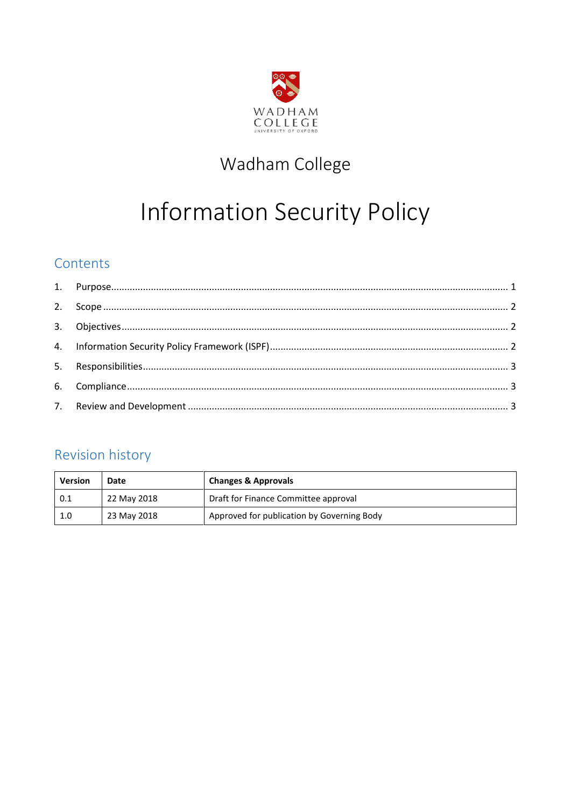

# Wadham College

# Information Security Policy

# Contents

# <span id="page-0-0"></span>Revision history

| <b>Version</b> | Date        | <b>Changes &amp; Approvals</b>             |
|----------------|-------------|--------------------------------------------|
| 0.1            | 22 May 2018 | Draft for Finance Committee approval       |
| 1.0            | 23 May 2018 | Approved for publication by Governing Body |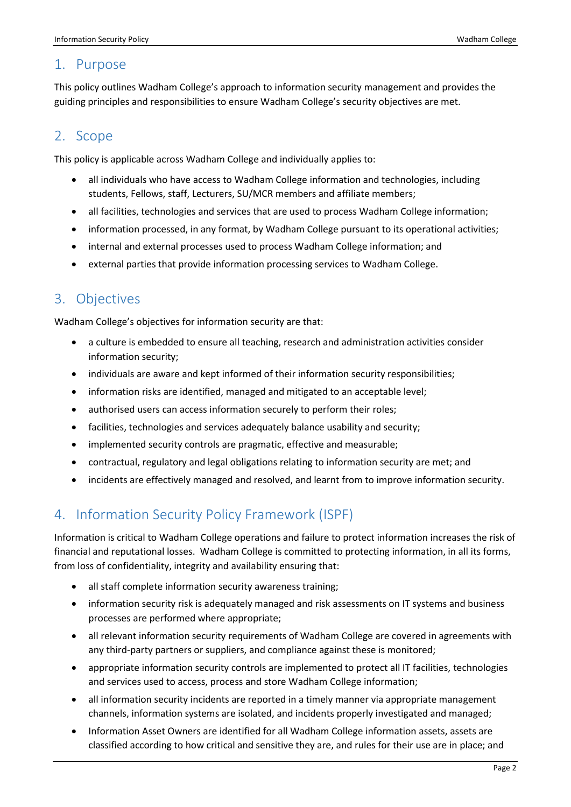#### 1. Purpose

This policy outlines Wadham College's approach to information security management and provides the guiding principles and responsibilities to ensure Wadham College's security objectives are met.

### <span id="page-1-0"></span>2. Scope

This policy is applicable across Wadham College and individually applies to:

- all individuals who have access to Wadham College information and technologies, including students, Fellows, staff, Lecturers, SU/MCR members and affiliate members;
- all facilities, technologies and services that are used to process Wadham College information;
- information processed, in any format, by Wadham College pursuant to its operational activities;
- internal and external processes used to process Wadham College information; and
- external parties that provide information processing services to Wadham College.

### <span id="page-1-1"></span>3. Objectives

Wadham College's objectives for information security are that:

- a culture is embedded to ensure all teaching, research and administration activities consider information security;
- individuals are aware and kept informed of their information security responsibilities;
- information risks are identified, managed and mitigated to an acceptable level;
- authorised users can access information securely to perform their roles;
- facilities, technologies and services adequately balance usability and security;
- implemented security controls are pragmatic, effective and measurable;
- contractual, regulatory and legal obligations relating to information security are met; and
- incidents are effectively managed and resolved, and learnt from to improve information security.

# <span id="page-1-2"></span>4. Information Security Policy Framework (ISPF)

Information is critical to Wadham College operations and failure to protect information increases the risk of financial and reputational losses. Wadham College is committed to protecting information, in all its forms, from loss of confidentiality, integrity and availability ensuring that:

- all staff complete information security awareness training;
- information security risk is adequately managed and risk assessments on IT systems and business processes are performed where appropriate;
- all relevant information security requirements of Wadham College are covered in agreements with any third-party partners or suppliers, and compliance against these is monitored;
- appropriate information security controls are implemented to protect all IT facilities, technologies and services used to access, process and store Wadham College information;
- all information security incidents are reported in a timely manner via appropriate management channels, information systems are isolated, and incidents properly investigated and managed;
- Information Asset Owners are identified for all Wadham College information assets, assets are classified according to how critical and sensitive they are, and rules for their use are in place; and